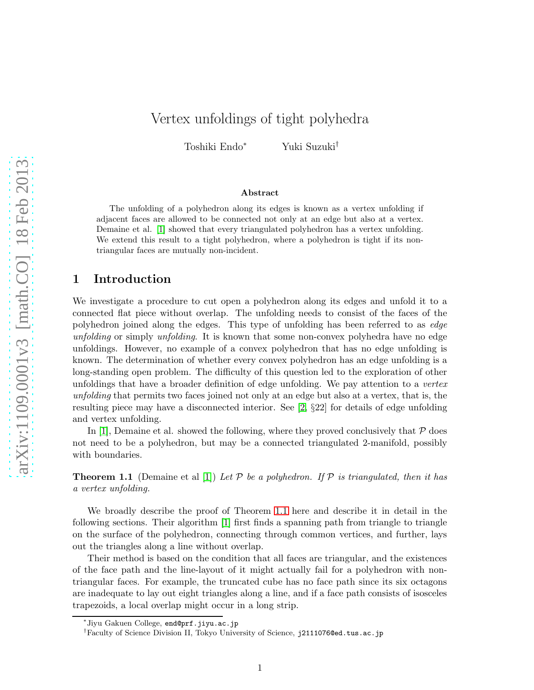# Vertex unfoldings of tight polyhedra

Toshiki Endo<sup>∗</sup> Yuki Suzuki†

#### Abstract

The unfolding of a polyhedron along its edges is known as a vertex unfolding if adjacent faces are allowed to be connected not only at an edge but also at a vertex. Demaine et al. [\[1\]](#page-6-0) showed that every triangulated polyhedron has a vertex unfolding. We extend this result to a tight polyhedron, where a polyhedron is tight if its nontriangular faces are mutually non-incident.

### 1 Introduction

We investigate a procedure to cut open a polyhedron along its edges and unfold it to a connected flat piece without overlap. The unfolding needs to consist of the faces of the polyhedron joined along the edges. This type of unfolding has been referred to as edge unfolding or simply unfolding. It is known that some non-convex polyhedra have no edge unfoldings. However, no example of a convex polyhedron that has no edge unfolding is known. The determination of whether every convex polyhedron has an edge unfolding is a long-standing open problem. The difficulty of this question led to the exploration of other unfoldings that have a broader definition of edge unfolding. We pay attention to a *vertex* unfolding that permits two faces joined not only at an edge but also at a vertex, that is, the resulting piece may have a disconnected interior. See [\[2,](#page-7-0) §22] for details of edge unfolding and vertex unfolding.

<span id="page-0-0"></span>In [\[1\]](#page-6-0), Demaine et al. showed the following, where they proved conclusively that  $P$  does not need to be a polyhedron, but may be a connected triangulated 2-manifold, possibly with boundaries.

**Theorem 1.1** (Demaine et al [\[1\]](#page-6-0)) Let P be a polyhedron. If P is triangulated, then it has a vertex unfolding.

We broadly describe the proof of Theorem [1.1](#page-0-0) here and describe it in detail in the following sections. Their algorithm [\[1\]](#page-6-0) first finds a spanning path from triangle to triangle on the surface of the polyhedron, connecting through common vertices, and further, lays out the triangles along a line without overlap.

Their method is based on the condition that all faces are triangular, and the existences of the face path and the line-layout of it might actually fail for a polyhedron with nontriangular faces. For example, the truncated cube has no face path since its six octagons are inadequate to lay out eight triangles along a line, and if a face path consists of isosceles trapezoids, a local overlap might occur in a long strip.

<sup>∗</sup> Jiyu Gakuen College, end@prf.jiyu.ac.jp

<sup>†</sup>Faculty of Science Division II, Tokyo University of Science, j2111076@ed.tus.ac.jp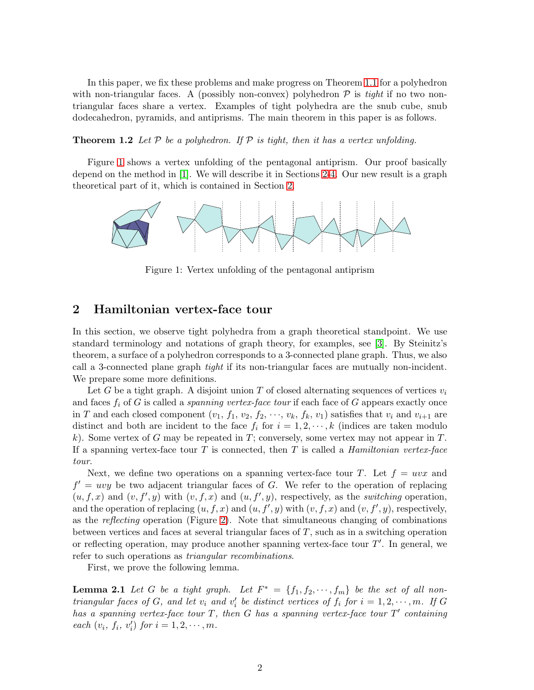In this paper, we fix these problems and make progress on Theorem [1.1](#page-0-0) for a polyhedron with non-triangular faces. A (possibly non-convex) polyhedron  $P$  is tight if no two nontriangular faces share a vertex. Examples of tight polyhedra are the snub cube, snub dodecahedron, pyramids, and antiprisms. The main theorem in this paper is as follows.

<span id="page-1-3"></span>**Theorem 1.2** Let P be a polyhedron. If P is tight, then it has a vertex unfolding.

Figure [1](#page-1-0) shows a vertex unfolding of the pentagonal antiprism. Our proof basically depend on the method in [\[1\]](#page-6-0). We will describe it in Sections [2](#page-1-1)[-4.](#page-6-1) Our new result is a graph theoretical part of it, which is contained in Section [2.](#page-1-1)



<span id="page-1-0"></span>Figure 1: Vertex unfolding of the pentagonal antiprism

## <span id="page-1-1"></span>2 Hamiltonian vertex-face tour

In this section, we observe tight polyhedra from a graph theoretical standpoint. We use standard terminology and notations of graph theory, for examples, see [\[3\]](#page-7-1). By Steinitz's theorem, a surface of a polyhedron corresponds to a 3-connected plane graph. Thus, we also call a 3-connected plane graph tight if its non-triangular faces are mutually non-incident. We prepare some more definitions.

Let G be a tight graph. A disjoint union T of closed alternating sequences of vertices  $v_i$ and faces  $f_i$  of G is called a *spanning vertex-face tour* if each face of G appears exactly once in T and each closed component  $(v_1, f_1, v_2, f_2, \dots, v_k, f_k, v_1)$  satisfies that  $v_i$  and  $v_{i+1}$  are distinct and both are incident to the face  $f_i$  for  $i = 1, 2, \dots, k$  (indices are taken modulo k). Some vertex of G may be repeated in T; conversely, some vertex may not appear in T. If a spanning vertex-face tour  $T$  is connected, then  $T$  is called a *Hamiltonian vertex-face* tour.

Next, we define two operations on a spanning vertex-face tour T. Let  $f = uvx$  and  $f' = uvy$  be two adjacent triangular faces of G. We refer to the operation of replacing  $(u, f, x)$  and  $(v, f', y)$  with  $(v, f, x)$  and  $(u, f', y)$ , respectively, as the *switching* operation, and the operation of replacing  $(u, f, x)$  and  $(u, f', y)$  with  $(v, f, x)$  and  $(v, f', y)$ , respectively, as the reflecting operation (Figure [2\)](#page-2-0). Note that simultaneous changing of combinations between vertices and faces at several triangular faces of  $T$ , such as in a switching operation or reflecting operation, may produce another spanning vertex-face tour  $T'$ . In general, we refer to such operations as triangular recombinations.

<span id="page-1-2"></span>First, we prove the following lemma.

**Lemma 2.1** Let G be a tight graph. Let  $F^* = \{f_1, f_2, \dots, f_m\}$  be the set of all nontriangular faces of G, and let  $v_i$  and  $v'_i$  be distinct vertices of  $f_i$  for  $i = 1, 2, \dots, m$ . If G has a spanning vertex-face tour  $T$ , then  $G$  has a spanning vertex-face tour  $T'$  containing each  $(v_i, f_i, v'_i)$  for  $i = 1, 2, \dots, m$ .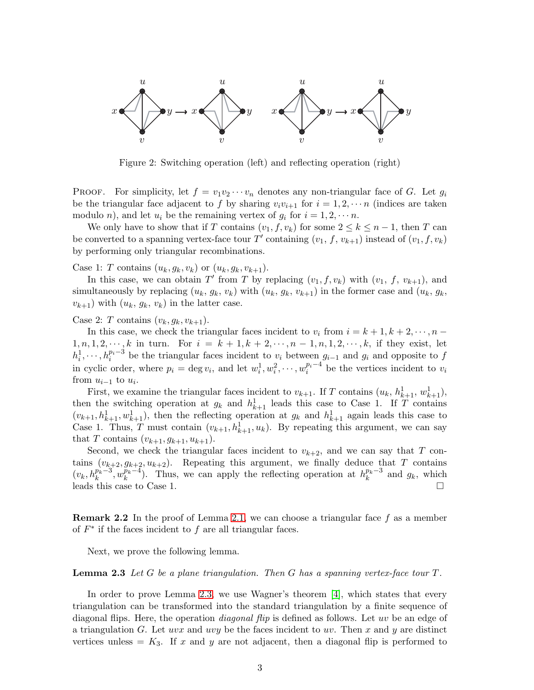

<span id="page-2-0"></span>Figure 2: Switching operation (left) and reflecting operation (right)

PROOF. For simplicity, let  $f = v_1v_2\cdots v_n$  denotes any non-triangular face of G. Let  $g_i$ be the triangular face adjacent to f by sharing  $v_i v_{i+1}$  for  $i = 1, 2, \cdots n$  (indices are taken modulo *n*), and let  $u_i$  be the remaining vertex of  $g_i$  for  $i = 1, 2, \dots n$ .

We only have to show that if T contains  $(v_1, f, v_k)$  for some  $2 \leq k \leq n-1$ , then T can be converted to a spanning vertex-face tour T' containing  $(v_1, f, v_{k+1})$  instead of  $(v_1, f, v_k)$ by performing only triangular recombinations.

Case 1: T contains  $(u_k, g_k, v_k)$  or  $(u_k, g_k, v_{k+1})$ .

In this case, we can obtain T' from T by replacing  $(v_1, f, v_k)$  with  $(v_1, f, v_{k+1})$ , and simultaneously by replacing  $(u_k, g_k, v_k)$  with  $(u_k, g_k, v_{k+1})$  in the former case and  $(u_k, g_k, v_k)$  $(v_{k+1})$  with  $(u_k, g_k, v_k)$  in the latter case.

Case 2: T contains  $(v_k, g_k, v_{k+1})$ .

In this case, we check the triangular faces incident to  $v_i$  from  $i = k + 1, k + 2, \dots, n - 1$  $1, n, 1, 2, \dots, k$  in turn. For  $i = k + 1, k + 2, \dots, n - 1, n, 1, 2, \dots, k$ , if they exist, let  $h_i^1, \dots, h_i^{p_i-3}$  be the triangular faces incident to  $v_i$  between  $g_{i-1}$  and  $g_i$  and opposite to f in cyclic order, where  $p_i = \deg v_i$ , and let  $w_i^1, w_i^2, \dots, w_i^{p_i-4}$  $\frac{p_i - 4}{i}$  be the vertices incident to  $v_i$ from  $u_{i-1}$  to  $u_i$ .

First, we examine the triangular faces incident to  $v_{k+1}$ . If T contains  $(u_k, h_{k+1}^1, w_{k+1}^1)$ , then the switching operation at  $g_k$  and  $h_{k+1}^1$  leads this case to Case 1. If T contains  $(v_{k+1}, h_{k+1}^1, w_{k+1}^1)$ , then the reflecting operation at  $g_k$  and  $h_{k+1}^1$  again leads this case to Case 1. Thus, T must contain  $(v_{k+1}, h_{k+1}^1, u_k)$ . By repeating this argument, we can say that T contains  $(v_{k+1}, g_{k+1}, u_{k+1})$ .

Second, we check the triangular faces incident to  $v_{k+2}$ , and we can say that T contains  $(v_{k+2}, g_{k+2}, u_{k+2})$ . Repeating this argument, we finally deduce that T contains  $(v_k, h_k^{p_k-3}, w_k^{p_k-4})$  $\frac{p_k-4}{k}$ . Thus, we can apply the reflecting operation at  $h_k^{p_k-3}$  $k^{p_k-3}$  and  $g_k$ , which leads this case to Case 1.

<span id="page-2-2"></span>**Remark 2.2** In the proof of Lemma [2.1,](#page-1-2) we can choose a triangular face f as a member of  $F^*$  if the faces incident to  $f$  are all triangular faces.

<span id="page-2-1"></span>Next, we prove the following lemma.

**Lemma 2.3** Let G be a plane triangulation. Then G has a spanning vertex-face tour  $T$ .

In order to prove Lemma [2.3,](#page-2-1) we use Wagner's theorem [\[4\]](#page-7-2), which states that every triangulation can be transformed into the standard triangulation by a finite sequence of diagonal flips. Here, the operation *diagonal flip* is defined as follows. Let uv be an edge of a triangulation G. Let uvx and uvy be the faces incident to uv. Then x and y are distinct vertices unless  $= K_3$ . If x and y are not adjacent, then a diagonal flip is performed to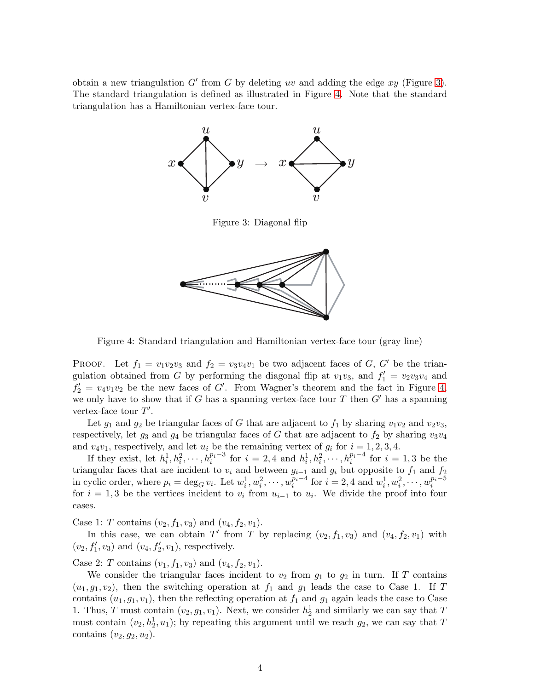obtain a new triangulation  $G'$  from  $G$  by deleting uv and adding the edge  $xy$  (Figure [3\)](#page-3-0). The standard triangulation is defined as illustrated in Figure [4.](#page-3-1) Note that the standard triangulation has a Hamiltonian vertex-face tour.



<span id="page-3-0"></span>Figure 3: Diagonal flip



<span id="page-3-1"></span>Figure 4: Standard triangulation and Hamiltonian vertex-face tour (gray line)

PROOF. Let  $f_1 = v_1v_2v_3$  and  $f_2 = v_3v_4v_1$  be two adjacent faces of G, G' be the triangulation obtained from G by performing the diagonal flip at  $v_1v_3$ , and  $f_1' = v_2v_3v_4$  and  $f_2' = v_4v_1v_2$  be the new faces of G'. From Wagner's theorem and the fact in Figure [4,](#page-3-1) we only have to show that if G has a spanning vertex-face tour T then  $G'$  has a spanning vertex-face tour  $T'$ .

Let  $g_1$  and  $g_2$  be triangular faces of G that are adjacent to  $f_1$  by sharing  $v_1v_2$  and  $v_2v_3$ , respectively, let  $g_3$  and  $g_4$  be triangular faces of G that are adjacent to  $f_2$  by sharing  $v_3v_4$ and  $v_4v_1$ , respectively, and let  $u_i$  be the remaining vertex of  $g_i$  for  $i = 1, 2, 3, 4$ .

If they exist, let  $h_i^1, h_i^2, \cdots, h_i^{p_i-3}$  for  $i = 2, 4$  and  $h_i^1, h_i^2, \cdots, h_i^{p_i-4}$  for  $i = 1, 3$  be the triangular faces that are incident to  $v_i$  and between  $g_{i-1}$  and  $g_i$  but opposite to  $f_1$  and  $f_2$ in cyclic order, where  $p_i = \deg_G v_i$ . Let  $w_i^1, w_i^2, \cdots, w_i^{p_i-4}$  $\sum_{i=1}^{p_i-4}$  for  $i=2,4$  and  $w_i^1, w_i^2, \cdots, w_i^{p_i-5}$ i for  $i = 1, 3$  be the vertices incident to  $v_i$  from  $u_{i-1}$  to  $u_i$ . We divide the proof into four cases.

Case 1: T contains  $(v_2, f_1, v_3)$  and  $(v_4, f_2, v_1)$ .

In this case, we can obtain T' from T by replacing  $(v_2, f_1, v_3)$  and  $(v_4, f_2, v_1)$  with  $(v_2, f'_1, v_3)$  and  $(v_4, f'_2, v_1)$ , respectively.

Case 2: T contains  $(v_1, f_1, v_3)$  and  $(v_4, f_2, v_1)$ .

We consider the triangular faces incident to  $v_2$  from  $g_1$  to  $g_2$  in turn. If T contains  $(u_1, g_1, v_2)$ , then the switching operation at  $f_1$  and  $g_1$  leads the case to Case 1. If T contains  $(u_1, g_1, v_1)$ , then the reflecting operation at  $f_1$  and  $g_1$  again leads the case to Case 1. Thus, T must contain  $(v_2, g_1, v_1)$ . Next, we consider  $h_2^1$  and similarly we can say that T must contain  $(v_2, h_2^1, u_1)$ ; by repeating this argument until we reach  $g_2$ , we can say that T contains  $(v_2, q_2, u_2)$ .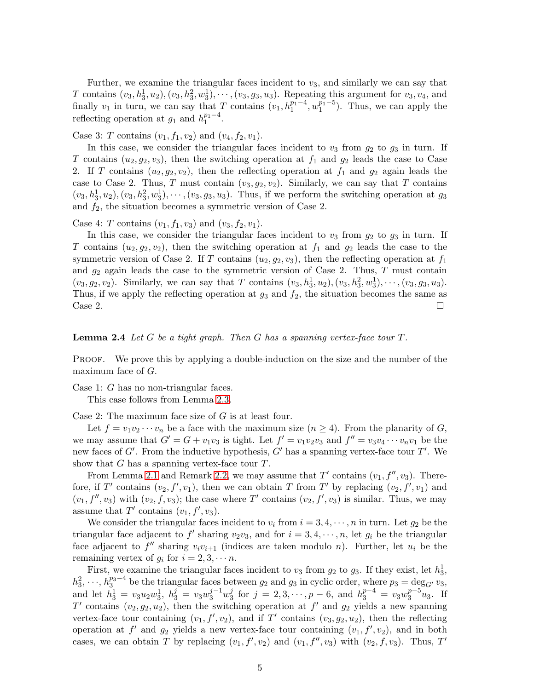Further, we examine the triangular faces incident to  $v_3$ , and similarly we can say that T contains  $(v_3, h_3^1, u_2), (v_3, h_3^2, w_3^1), \cdots, (v_3, g_3, u_3)$ . Repeating this argument for  $v_3, v_4$ , and finally  $v_1$  in turn, we can say that T contains  $(v_1, h_1^{p_1-4}, w_1^{p_1-5})$ . Thus, we can apply the reflecting operation at  $g_1$  and  $h_1^{p_1-4}$ .

Case 3: T contains  $(v_1, f_1, v_2)$  and  $(v_4, f_2, v_1)$ .

In this case, we consider the triangular faces incident to  $v_3$  from  $g_2$  to  $g_3$  in turn. If T contains  $(u_2, g_2, v_3)$ , then the switching operation at  $f_1$  and  $g_2$  leads the case to Case 2. If T contains  $(u_2, g_2, v_2)$ , then the reflecting operation at  $f_1$  and  $g_2$  again leads the case to Case 2. Thus, T must contain  $(v_3, g_2, v_2)$ . Similarly, we can say that T contains  $(v_3, h_3^1, u_2), (v_3, h_3^2, w_3^1), \cdots, (v_3, g_3, u_3)$ . Thus, if we perform the switching operation at  $g_3$ and  $f_2$ , the situation becomes a symmetric version of Case 2.

Case 4: T contains  $(v_1, f_1, v_3)$  and  $(v_3, f_2, v_1)$ .

In this case, we consider the triangular faces incident to  $v_3$  from  $g_2$  to  $g_3$  in turn. If T contains  $(u_2, g_2, v_2)$ , then the switching operation at  $f_1$  and  $g_2$  leads the case to the symmetric version of Case 2. If T contains  $(u_2, g_2, v_3)$ , then the reflecting operation at  $f_1$ and  $g_2$  again leads the case to the symmetric version of Case 2. Thus, T must contain  $(v_3, g_2, v_2)$ . Similarly, we can say that T contains  $(v_3, h_3^1, u_2), (v_3, h_3^2, w_3^1), \cdots, (v_3, g_3, u_3)$ . Thus, if we apply the reflecting operation at  $g_3$  and  $f_2$ , the situation becomes the same as Case 2.

### <span id="page-4-0"></span>**Lemma 2.4** Let G be a tight graph. Then G has a spanning vertex-face tour  $T$ .

PROOF. We prove this by applying a double-induction on the size and the number of the maximum face of  $G$ .

Case 1: G has no non-triangular faces.

This case follows from Lemma [2.3.](#page-2-1)

Case 2: The maximum face size of  $G$  is at least four.

Let  $f = v_1v_2\cdots v_n$  be a face with the maximum size  $(n \geq 4)$ . From the planarity of G, we may assume that  $G' = G + v_1v_3$  is tight. Let  $f' = v_1v_2v_3$  and  $f'' = v_3v_4 \cdots v_nv_1$  be the new faces of  $G'$ . From the inductive hypothesis,  $G'$  has a spanning vertex-face tour  $T'$ . We show that  $G$  has a spanning vertex-face tour  $T$ .

From Lemma [2.1](#page-1-2) and Remark [2.2,](#page-2-2) we may assume that  $T'$  contains  $(v_1, f'', v_3)$ . Therefore, if T' contains  $(v_2, f', v_1)$ , then we can obtain T from T' by replacing  $(v_2, f', v_1)$  and  $(v_1, f'', v_3)$  with  $(v_2, f, v_3)$ ; the case where T' contains  $(v_2, f', v_3)$  is similar. Thus, we may assume that T' contains  $(v_1, f', v_3)$ .

We consider the triangular faces incident to  $v_i$  from  $i = 3, 4, \dots, n$  in turn. Let  $g_2$  be the triangular face adjacent to f' sharing  $v_2v_3$ , and for  $i = 3, 4, \dots, n$ , let  $g_i$  be the triangular face adjacent to  $f''$  sharing  $v_i v_{i+1}$  (indices are taken modulo n). Further, let  $u_i$  be the remaining vertex of  $g_i$  for  $i = 2, 3, \dots n$ .

First, we examine the triangular faces incident to  $v_3$  from  $g_2$  to  $g_3$ . If they exist, let  $h_3^1$ ,  $h_3^2, \dots, h_3^{p_3-4}$  be the triangular faces between  $g_2$  and  $g_3$  in cyclic order, where  $p_3 = \deg_{G'} v_3$ , and let  $h_3^1 = v_3 u_2 w_3^1$ ,  $h_3^j = v_3 w_3^{j-1} w_3^j$  for  $j = 2, 3, \dots, p-6$ , and  $h_3^{p-4} = v_3 w_3^{p-5} w_3^j$ . If T' contains  $(v_2, g_2, u_2)$ , then the switching operation at f' and  $g_2$  yields a new spanning vertex-face tour containing  $(v_1, f', v_2)$ , and if T' contains  $(v_3, g_2, u_2)$ , then the reflecting operation at  $f'$  and  $g_2$  yields a new vertex-face tour containing  $(v_1, f', v_2)$ , and in both cases, we can obtain T by replacing  $(v_1, f', v_2)$  and  $(v_1, f'', v_3)$  with  $(v_2, f, v_3)$ . Thus, T'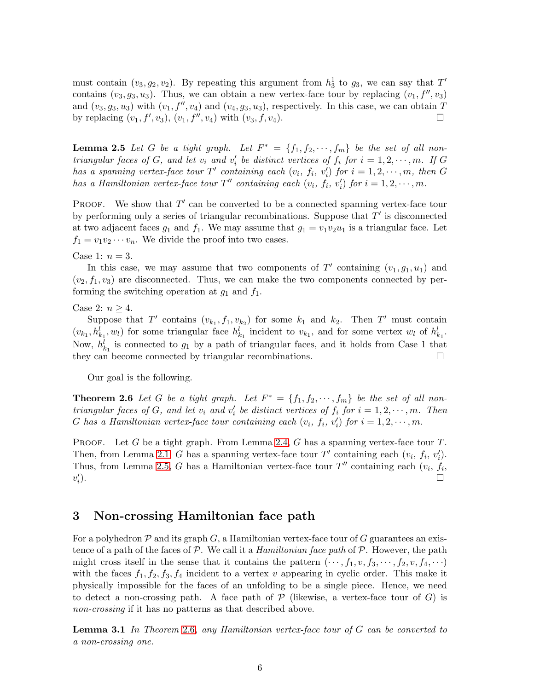must contain  $(v_3, g_2, v_2)$ . By repeating this argument from  $h_3^1$  to  $g_3$ , we can say that  $T'$ contains  $(v_3, g_3, u_3)$ . Thus, we can obtain a new vertex-face tour by replacing  $(v_1, f'', v_3)$ and  $(v_3, g_3, u_3)$  with  $(v_1, f'', v_4)$  and  $(v_4, g_3, u_3)$ , respectively. In this case, we can obtain T by replacing  $(v_1, f', v_3)$ ,  $(v_1, f'', v_4)$  with  $(v_3, f, v_4)$ .

<span id="page-5-0"></span>**Lemma 2.5** Let G be a tight graph. Let  $F^* = \{f_1, f_2, \dots, f_m\}$  be the set of all nontriangular faces of G, and let  $v_i$  and  $v'_i$  be distinct vertices of  $f_i$  for  $i = 1, 2, \dots, m$ . If G has a spanning vertex-face tour  $T'$  containing each  $(v_i, f_i, v'_i)$  for  $i = 1, 2, \dots, m$ , then G has a Hamiltonian vertex-face tour  $T''$  containing each  $(v_i, f_i, v'_i)$  for  $i = 1, 2, \dots, m$ .

PROOF. We show that  $T'$  can be converted to be a connected spanning vertex-face tour by performing only a series of triangular recombinations. Suppose that  $T'$  is disconnected at two adjacent faces  $g_1$  and  $f_1$ . We may assume that  $g_1 = v_1v_2u_1$  is a triangular face. Let  $f_1 = v_1v_2\cdots v_n$ . We divide the proof into two cases.

Case 1:  $n = 3$ .

In this case, we may assume that two components of T' containing  $(v_1, g_1, u_1)$  and  $(v_2, f_1, v_3)$  are disconnected. Thus, we can make the two components connected by performing the switching operation at  $g_1$  and  $f_1$ .

Case 2:  $n \geq 4$ .

Suppose that T' contains  $(v_{k_1}, f_1, v_{k_2})$  for some  $k_1$  and  $k_2$ . Then T' must contain  $(v_{k_1}, h_{k_1}^l, w_l)$  for some triangular face  $h_{k_1}^l$  incident to  $v_{k_1}$ , and for some vertex  $w_l$  of  $h_{k_1}^l$ . Now,  $h_{k_1}^l$  is connected to  $g_1$  by a path of triangular faces, and it holds from Case 1 that they can become connected by triangular recombinations.

<span id="page-5-1"></span>Our goal is the following.

**Theorem 2.6** Let G be a tight graph. Let  $F^* = \{f_1, f_2, \dots, f_m\}$  be the set of all nontriangular faces of G, and let  $v_i$  and  $v'_i$  be distinct vertices of  $f_i$  for  $i = 1, 2, \dots, m$ . Then G has a Hamiltonian vertex-face tour containing each  $(v_i, f_i, v'_i)$  for  $i = 1, 2, \dots, m$ .

PROOF. Let G be a tight graph. From Lemma [2.4,](#page-4-0) G has a spanning vertex-face tour  $T$ . Then, from Lemma [2.1,](#page-1-2) G has a spanning vertex-face tour  $T'$  containing each  $(v_i, f_i, v'_i)$ . Thus, from Lemma [2.5,](#page-5-0) G has a Hamiltonian vertex-face tour  $T''$  containing each  $(v_i, f_i)$ ,  $v_i'$  $\Box$ 

### 3 Non-crossing Hamiltonian face path

For a polyhedron  $P$  and its graph  $G$ , a Hamiltonian vertex-face tour of  $G$  guarantees an existence of a path of the faces of  $P$ . We call it a *Hamiltonian face path* of  $P$ . However, the path might cross itself in the sense that it contains the pattern  $(\cdots, f_1, v, f_3, \cdots, f_2, v, f_4, \cdots)$ with the faces  $f_1, f_2, f_3, f_4$  incident to a vertex v appearing in cyclic order. This make it physically impossible for the faces of an unfolding to be a single piece. Hence, we need to detect a non-crossing path. A face path of  $P$  (likewise, a vertex-face tour of  $G$ ) is non-crossing if it has no patterns as that described above.

<span id="page-5-2"></span>**Lemma 3.1** In Theorem [2](#page-5-1).6, any Hamiltonian vertex-face tour of  $G$  can be converted to a non-crossing one.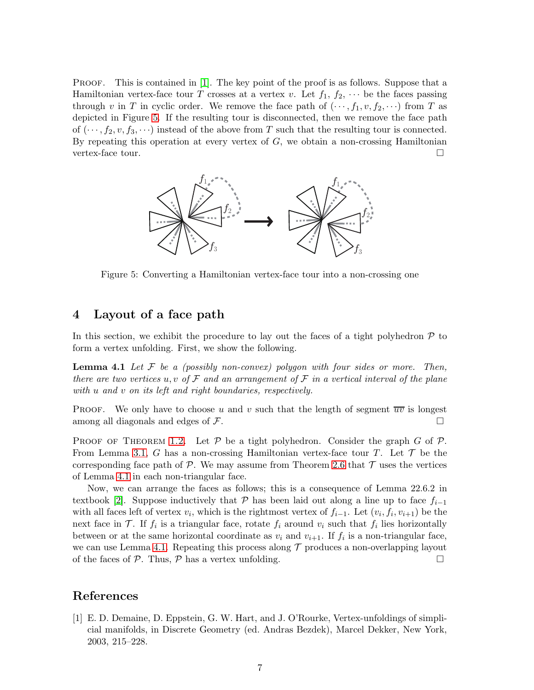PROOF. This is contained in [\[1\]](#page-6-0). The key point of the proof is as follows. Suppose that a Hamiltonian vertex-face tour T crosses at a vertex v. Let  $f_1, f_2, \cdots$  be the faces passing through v in T in cyclic order. We remove the face path of  $(\dots, f_1, v, f_2, \dots)$  from T as depicted in Figure [5.](#page-6-2) If the resulting tour is disconnected, then we remove the face path of  $(\dots, f_2, v, f_3, \dots)$  instead of the above from T such that the resulting tour is connected. By repeating this operation at every vertex of  $G$ , we obtain a non-crossing Hamiltonian vertex-face tour.



<span id="page-6-2"></span>Figure 5: Converting a Hamiltonian vertex-face tour into a non-crossing one

### <span id="page-6-1"></span>4 Layout of a face path

<span id="page-6-3"></span>In this section, we exhibit the procedure to lay out the faces of a tight polyhedron  $\mathcal P$  to form a vertex unfolding. First, we show the following.

**Lemma 4.1** Let  $\mathcal F$  be a (possibly non-convex) polygon with four sides or more. Then, there are two vertices u, v of  $\mathcal F$  and an arrangement of  $\mathcal F$  in a vertical interval of the plane with u and v on its left and right boundaries, respectively.

**PROOF.** We only have to choose u and v such that the length of segment  $\overline{uv}$  is longest among all diagonals and edges of  $\mathcal F$ .

PROOF OF THEOREM [1.2.](#page-1-3) Let  $\mathcal P$  be a tight polyhedron. Consider the graph G of  $\mathcal P$ . From Lemma [3.1,](#page-5-2) G has a non-crossing Hamiltonian vertex-face tour T. Let  $\mathcal T$  be the corresponding face path of  $P$ . We may assume from Theorem [2.6](#page-5-1) that  $T$  uses the vertices of Lemma [4.1](#page-6-3) in each non-triangular face.

Now, we can arrange the faces as follows; this is a consequence of Lemma 22.6.2 in textbook [\[2\]](#page-7-0). Suppose inductively that P has been laid out along a line up to face  $f_{i-1}$ with all faces left of vertex  $v_i$ , which is the rightmost vertex of  $f_{i-1}$ . Let  $(v_i, f_i, v_{i+1})$  be the next face in  $\mathcal{T}$ . If  $f_i$  is a triangular face, rotate  $f_i$  around  $v_i$  such that  $f_i$  lies horizontally between or at the same horizontal coordinate as  $v_i$  and  $v_{i+1}$ . If  $f_i$  is a non-triangular face, we can use Lemma [4.1.](#page-6-3) Repeating this process along  $\mathcal T$  produces a non-overlapping layout of the faces of  $P$ . Thus,  $P$  has a vertex unfolding.

## References

<span id="page-6-0"></span>[1] E. D. Demaine, D. Eppstein, G. W. Hart, and J. O'Rourke, Vertex-unfoldings of simplicial manifolds, in Discrete Geometry (ed. Andras Bezdek), Marcel Dekker, New York, 2003, 215–228.